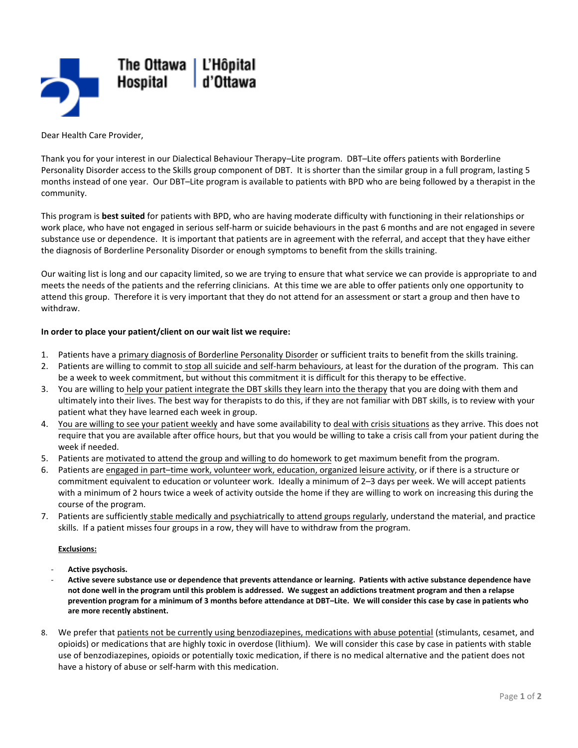

Dear Health Care Provider,

Thank you for your interest in our Dialectical Behaviour Therapy–Lite program. DBT–Lite offers patients with Borderline Personality Disorder access to the Skills group component of DBT. It is shorter than the similar group in a full program, lasting 5 months instead of one year. Our DBT–Lite program is available to patients with BPD who are being followed by a therapist in the community.

This program is **best suited** for patients with BPD, who are having moderate difficulty with functioning in their relationships or work place, who have not engaged in serious self-harm or suicide behaviours in the past 6 months and are not engaged in severe substance use or dependence. It is important that patients are in agreement with the referral, and accept that they have either the diagnosis of Borderline Personality Disorder or enough symptoms to benefit from the skills training.

Our waiting list is long and our capacity limited, so we are trying to ensure that what service we can provide is appropriate to and meets the needs of the patients and the referring clinicians. At this time we are able to offer patients only one opportunity to attend this group. Therefore it is very important that they do not attend for an assessment or start a group and then have to withdraw.

## **In order to place your patient/client on our wait list we require:**

- 1. Patients have a primary diagnosis of Borderline Personality Disorder or sufficient traits to benefit from the skills training.
- 2. Patients are willing to commit to stop all suicide and self-harm behaviours, at least for the duration of the program. This can be a week to week commitment, but without this commitment it is difficult for this therapy to be effective.
- 3. You are willing to help your patient integrate the DBT skills they learn into the therapy that you are doing with them and ultimately into their lives. The best way for therapists to do this, if they are not familiar with DBT skills, is to review with your patient what they have learned each week in group.
- 4. You are willing to see your patient weekly and have some availability to deal with crisis situations as they arrive. This does not require that you are available after office hours, but that you would be willing to take a crisis call from your patient during the week if needed.
- 5. Patients are motivated to attend the group and willing to do homework to get maximum benefit from the program.
- 6. Patients are engaged in part–time work, volunteer work, education, organized leisure activity, or if there is a structure or commitment equivalent to education or volunteer work. Ideally a minimum of 2–3 days per week. We will accept patients with a minimum of 2 hours twice a week of activity outside the home if they are willing to work on increasing this during the course of the program.
- 7. Patients are sufficiently stable medically and psychiatrically to attend groups regularly, understand the material, and practice skills. If a patient misses four groups in a row, they will have to withdraw from the program.

#### **Exclusions:**

- **Active psychosis.**
- **Active severe substance use or dependence that prevents attendance or learning. Patients with active substance dependence have not done well in the program until this problem is addressed. We suggest an addictions treatment program and then a relapse prevention program for a minimum of 3 months before attendance at DBT–Lite. We will consider this case by case in patients who are more recently abstinent.**
- 8. We prefer that patients not be currently using benzodiazepines, medications with abuse potential (stimulants, cesamet, and opioids) or medications that are highly toxic in overdose (lithium). We will consider this case by case in patients with stable use of benzodiazepines, opioids or potentially toxic medication, if there is no medical alternative and the patient does not have a history of abuse or self-harm with this medication.